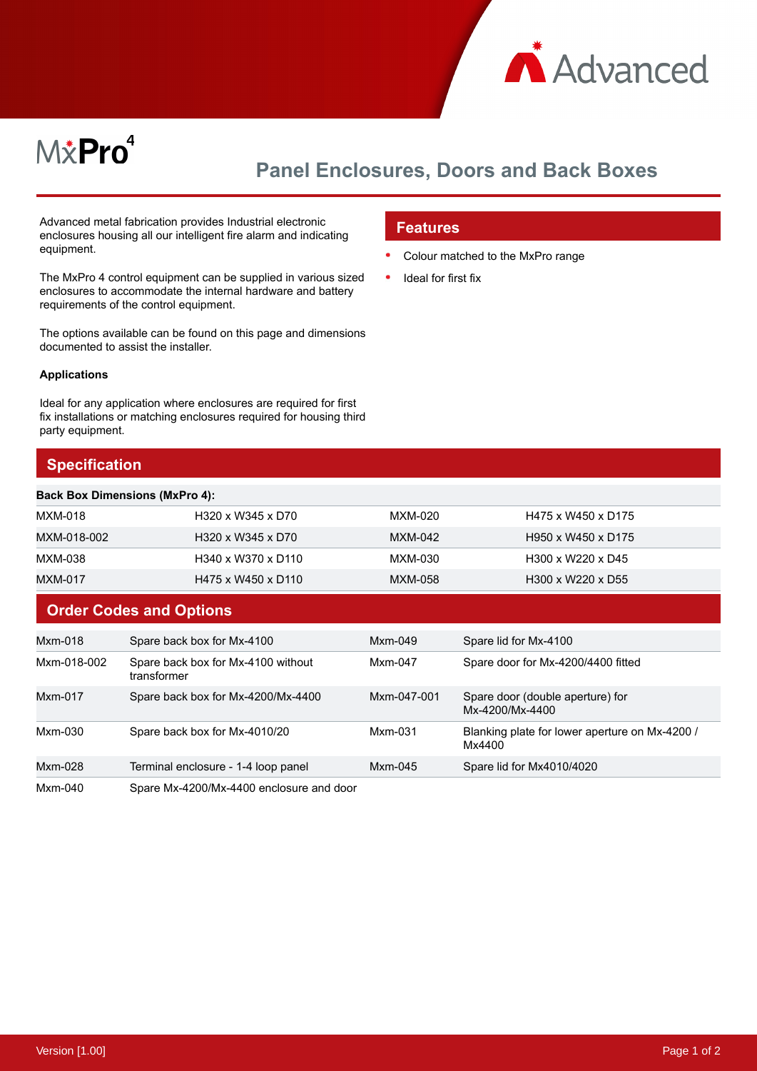

# M&Pro<sup>4</sup>

## **Panel Enclosures, Doors and Back Boxes**

Advanced metal fabrication provides Industrial electronic enclosures housing all our intelligent fire alarm and indicating equipment.

The MxPro 4 control equipment can be supplied in various sized enclosures to accommodate the internal hardware and battery requirements of the control equipment.

The options available can be found on this page and dimensions documented to assist the installer.

#### **Applications**

Ideal for any application where enclosures are required for first fix installations or matching enclosures required for housing third party equipment.

#### **Specification**

#### **Features**

- Colour matched to the MxPro range
- Ideal for first fix

|             | <b>Back Box Dimensions (MxPro 4):</b>             |             |                                                          |
|-------------|---------------------------------------------------|-------------|----------------------------------------------------------|
| MXM-018     | H320 x W345 x D70                                 | MXM-020     | H475 x W450 x D175                                       |
| MXM-018-002 | H320 x W345 x D70                                 | MXM-042     | H950 x W450 x D175                                       |
| MXM-038     | H340 x W370 x D110                                | MXM-030     | H300 x W220 x D45                                        |
| MXM-017     | H475 x W450 x D110                                | MXM-058     | H300 x W220 x D55                                        |
|             | <b>Order Codes and Options</b>                    |             |                                                          |
| Mxm-018     | Spare back box for Mx-4100                        | Mxm-049     | Spare lid for Mx-4100                                    |
| Mxm-018-002 | Spare back box for Mx-4100 without<br>transformer | Mxm-047     | Spare door for Mx-4200/4400 fitted                       |
| Mxm-017     | Spare back box for Mx-4200/Mx-4400                | Mxm-047-001 | Spare door (double aperture) for<br>Mx-4200/Mx-4400      |
| Mxm-030     | Spare back box for Mx-4010/20                     | Mxm-031     | Blanking plate for lower aperture on Mx-4200 /<br>Mx4400 |

Mxm-028 Terminal enclosure - 1-4 loop panel Mxm-045 Spare lid for Mx4010/4020

Mxm-040 Spare Mx-4200/Mx-4400 enclosure and door